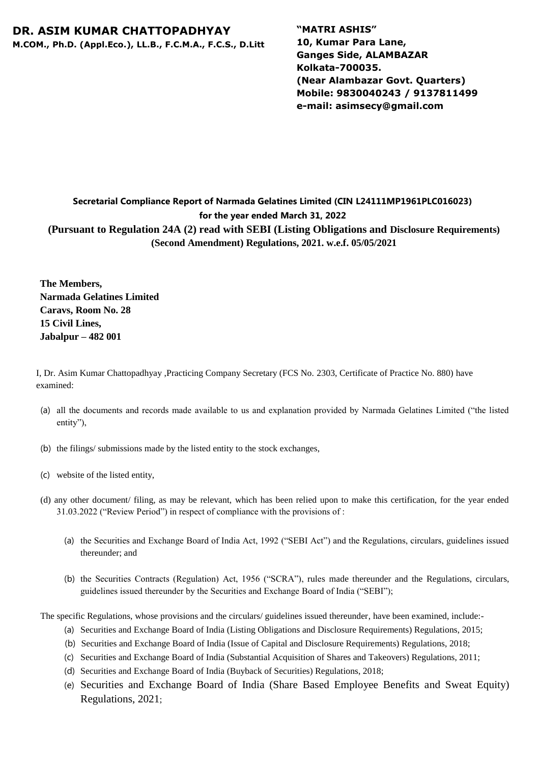## **DR. ASIM KUMAR CHATTOPADHYAY**

**M.COM., Ph.D. (Appl.Eco.), LL.B., F.C.M.A., F.C.S., D.Litt**

**"MATRI ASHIS" 10, Kumar Para Lane, Ganges Side, ALAMBAZAR Kolkata-700035. (Near Alambazar Govt. Quarters) Mobile: 9830040243 / 9137811499 e-mail: asimsecy@gmail.com**

## **Secretarial Compliance Report of Narmada Gelatines Limited (CIN L24111MP1961PLC016023) for the year ended March 31, 2022 (Pursuant to Regulation 24A (2) read with SEBI (Listing Obligations and Disclosure Requirements) (Second Amendment) Regulations, 2021. w.e.f. 05/05/2021**

**The Members, Narmada Gelatines Limited Caravs, Room No. 28 15 Civil Lines, Jabalpur – 482 001** 

I, Dr. Asim Kumar Chattopadhyay ,Practicing Company Secretary (FCS No. 2303, Certificate of Practice No. 880) have examined:

- (a) all the documents and records made available to us and explanation provided by Narmada Gelatines Limited ("the listed entity"),
- (b) the filings/ submissions made by the listed entity to the stock exchanges,
- (c) website of the listed entity,
- (d) any other document/ filing, as may be relevant, which has been relied upon to make this certification, for the year ended 31.03.2022 ("Review Period") in respect of compliance with the provisions of :
	- (a) the Securities and Exchange Board of India Act, 1992 ("SEBI Act") and the Regulations, circulars, guidelines issued thereunder; and
	- (b) the Securities Contracts (Regulation) Act, 1956 ("SCRA"), rules made thereunder and the Regulations, circulars, guidelines issued thereunder by the Securities and Exchange Board of India ("SEBI");

The specific Regulations, whose provisions and the circulars/ guidelines issued thereunder, have been examined, include:-

- (a) Securities and Exchange Board of India (Listing Obligations and Disclosure Requirements) Regulations, 2015;
- (b) Securities and Exchange Board of India (Issue of Capital and Disclosure Requirements) Regulations, 2018;
- (c) Securities and Exchange Board of India (Substantial Acquisition of Shares and Takeovers) Regulations, 2011;
- (d) Securities and Exchange Board of India (Buyback of Securities) Regulations, 2018;
- (e) Securities and Exchange Board of India (Share Based Employee Benefits and Sweat Equity) Regulations, 2021;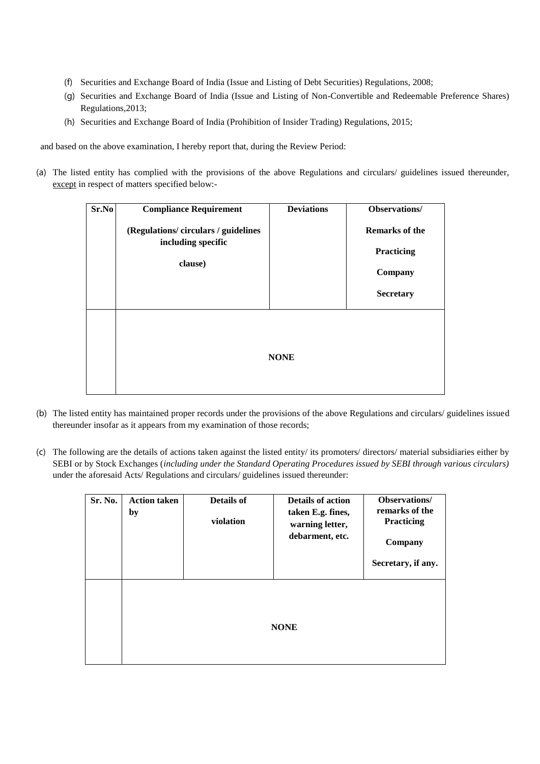- (f) Securities and Exchange Board of India (Issue and Listing of Debt Securities) Regulations, 2008;
- (g) Securities and Exchange Board of India (Issue and Listing of Non-Convertible and Redeemable Preference Shares) Regulations,2013;
- (h) Securities and Exchange Board of India (Prohibition of Insider Trading) Regulations, 2015;

and based on the above examination, I hereby report that, during the Review Period:

(a) The listed entity has complied with the provisions of the above Regulations and circulars/ guidelines issued thereunder, except in respect of matters specified below:-

| Sr.No | <b>Compliance Requirement</b>                                      | <b>Deviations</b> | Observations/         |
|-------|--------------------------------------------------------------------|-------------------|-----------------------|
|       | (Regulations/circulars/guidelines<br>including specific<br>clause) |                   | <b>Remarks of the</b> |
|       |                                                                    |                   | Practicing            |
|       |                                                                    |                   | Company               |
|       |                                                                    |                   | <b>Secretary</b>      |
|       |                                                                    | <b>NONE</b>       |                       |
|       |                                                                    |                   |                       |

- (b) The listed entity has maintained proper records under the provisions of the above Regulations and circulars/ guidelines issued thereunder insofar as it appears from my examination of those records;
- (c) The following are the details of actions taken against the listed entity/ its promoters/ directors/ material subsidiaries either by SEBI or by Stock Exchanges (*including under the Standard Operating Procedures issued by SEBI through various circulars)*  under the aforesaid Acts/ Regulations and circulars/ guidelines issued thereunder:

| Sr. No. | <b>Action taken</b><br>by | Details of<br>violation | <b>Details of action</b><br>taken E.g. fines,<br>warning letter,<br>debarment, etc. | Observations/<br>remarks of the<br>Practicing<br>Company<br>Secretary, if any. |
|---------|---------------------------|-------------------------|-------------------------------------------------------------------------------------|--------------------------------------------------------------------------------|
|         | <b>NONE</b>               |                         |                                                                                     |                                                                                |